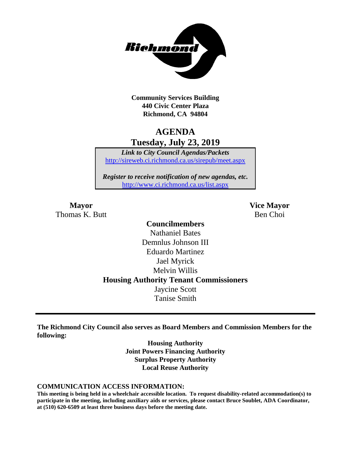

**Community Services Building 440 Civic Center Plaza Richmond, CA 94804**

### **AGENDA Tuesday, July 23, 2019**

*Link to City Council Agendas/Packets* <http://sireweb.ci.richmond.ca.us/sirepub/meet.aspx>

*Register to receive notification of new agendas, etc.* <http://www.ci.richmond.ca.us/list.aspx>

Thomas K. Butt Ben Choi

**Mayor Vice Mayor**

### **Councilmembers** Nathaniel Bates Demnlus Johnson III Eduardo Martinez Jael Myrick Melvin Willis **Housing Authority Tenant Commissioners** Jaycine Scott Tanise Smith

**The Richmond City Council also serves as Board Members and Commission Members for the following:**

> **Housing Authority Joint Powers Financing Authority Surplus Property Authority Local Reuse Authority**

#### **COMMUNICATION ACCESS INFORMATION:**

**This meeting is being held in a wheelchair accessible location. To request disability-related accommodation(s) to participate in the meeting, including auxiliary aids or services, please contact Bruce Soublet, ADA Coordinator, at (510) 620-6509 at least three business days before the meeting date.**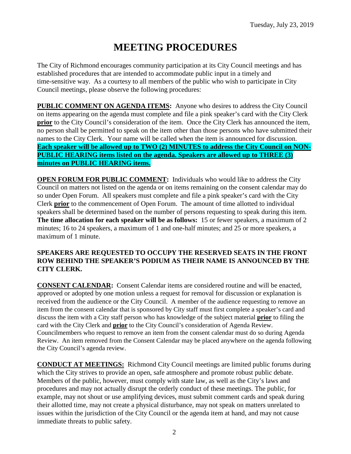# **MEETING PROCEDURES**

The City of Richmond encourages community participation at its City Council meetings and has established procedures that are intended to accommodate public input in a timely and time-sensitive way. As a courtesy to all members of the public who wish to participate in City Council meetings, please observe the following procedures:

**PUBLIC COMMENT ON AGENDA ITEMS:** Anyone who desires to address the City Council on items appearing on the agenda must complete and file a pink speaker's card with the City Clerk **prior** to the City Council's consideration of the item. Once the City Clerk has announced the item, no person shall be permitted to speak on the item other than those persons who have submitted their names to the City Clerk. Your name will be called when the item is announced for discussion. **Each speaker will be allowed up to TWO (2) MINUTES to address the City Council on NON-PUBLIC HEARING items listed on the agenda. Speakers are allowed up to THREE (3) minutes on PUBLIC HEARING items.**

**OPEN FORUM FOR PUBLIC COMMENT:** Individuals who would like to address the City Council on matters not listed on the agenda or on items remaining on the consent calendar may do so under Open Forum. All speakers must complete and file a pink speaker's card with the City Clerk **prior** to the commencement of Open Forum. The amount of time allotted to individual speakers shall be determined based on the number of persons requesting to speak during this item. **The time allocation for each speaker will be as follows:** 15 or fewer speakers, a maximum of 2 minutes; 16 to 24 speakers, a maximum of 1 and one-half minutes; and 25 or more speakers, a maximum of 1 minute.

#### **SPEAKERS ARE REQUESTED TO OCCUPY THE RESERVED SEATS IN THE FRONT ROW BEHIND THE SPEAKER'S PODIUM AS THEIR NAME IS ANNOUNCED BY THE CITY CLERK.**

**CONSENT CALENDAR:** Consent Calendar items are considered routine and will be enacted, approved or adopted by one motion unless a request for removal for discussion or explanation is received from the audience or the City Council. A member of the audience requesting to remove an item from the consent calendar that is sponsored by City staff must first complete a speaker's card and discuss the item with a City staff person who has knowledge of the subject material **prior** to filing the card with the City Clerk and **prior** to the City Council's consideration of Agenda Review. Councilmembers who request to remove an item from the consent calendar must do so during Agenda Review. An item removed from the Consent Calendar may be placed anywhere on the agenda following the City Council's agenda review.

**CONDUCT AT MEETINGS:** Richmond City Council meetings are limited public forums during which the City strives to provide an open, safe atmosphere and promote robust public debate. Members of the public, however, must comply with state law, as well as the City's laws and procedures and may not actually disrupt the orderly conduct of these meetings. The public, for example, may not shout or use amplifying devices, must submit comment cards and speak during their allotted time, may not create a physical disturbance, may not speak on matters unrelated to issues within the jurisdiction of the City Council or the agenda item at hand, and may not cause immediate threats to public safety.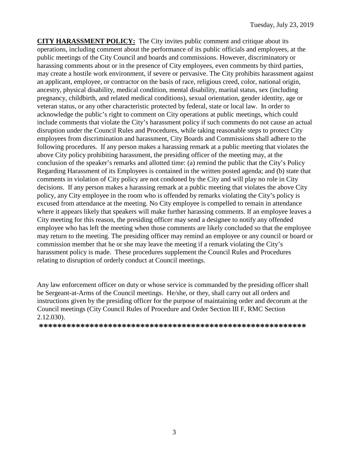**CITY HARASSMENT POLICY:** The City invites public comment and critique about its operations, including comment about the performance of its public officials and employees, at the public meetings of the City Council and boards and commissions. However, discriminatory or harassing comments about or in the presence of City employees, even comments by third parties, may create a hostile work environment, if severe or pervasive. The City prohibits harassment against an applicant, employee, or contractor on the basis of race, religious creed, color, national origin, ancestry, physical disability, medical condition, mental disability, marital status, sex (including pregnancy, childbirth, and related medical conditions), sexual orientation, gender identity, age or veteran status, or any other characteristic protected by federal, state or local law. In order to acknowledge the public's right to comment on City operations at public meetings, which could include comments that violate the City's harassment policy if such comments do not cause an actual disruption under the Council Rules and Procedures, while taking reasonable steps to protect City employees from discrimination and harassment, City Boards and Commissions shall adhere to the following procedures. If any person makes a harassing remark at a public meeting that violates the above City policy prohibiting harassment, the presiding officer of the meeting may, at the conclusion of the speaker's remarks and allotted time: (a) remind the public that the City's Policy Regarding Harassment of its Employees is contained in the written posted agenda; and (b) state that comments in violation of City policy are not condoned by the City and will play no role in City decisions. If any person makes a harassing remark at a public meeting that violates the above City policy, any City employee in the room who is offended by remarks violating the City's policy is excused from attendance at the meeting. No City employee is compelled to remain in attendance where it appears likely that speakers will make further harassing comments. If an employee leaves a City meeting for this reason, the presiding officer may send a designee to notify any offended employee who has left the meeting when those comments are likely concluded so that the employee may return to the meeting. The presiding officer may remind an employee or any council or board or commission member that he or she may leave the meeting if a remark violating the City's harassment policy is made. These procedures supplement the Council Rules and Procedures relating to disruption of orderly conduct at Council meetings.

Any law enforcement officer on duty or whose service is commanded by the presiding officer shall be Sergeant-at-Arms of the Council meetings. He/she, or they, shall carry out all orders and instructions given by the presiding officer for the purpose of maintaining order and decorum at the Council meetings (City Council Rules of Procedure and Order Section III F, RMC Section 2.12.030).

**\*\*\*\*\*\*\*\*\*\*\*\*\*\*\*\*\*\*\*\*\*\*\*\*\*\*\*\*\*\*\*\*\*\*\*\*\*\*\*\*\*\*\*\*\*\*\*\*\*\*\*\*\*\*\*\*\*\***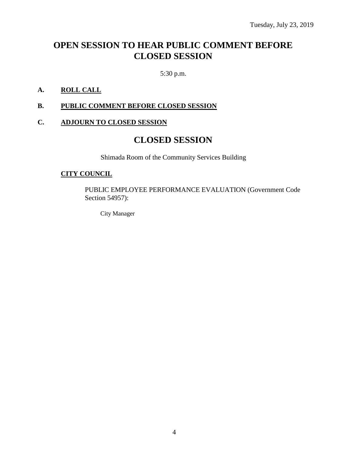# **OPEN SESSION TO HEAR PUBLIC COMMENT BEFORE CLOSED SESSION**

5:30 p.m.

#### **A. ROLL CALL**

#### **B. PUBLIC COMMENT BEFORE CLOSED SESSION**

#### **C. ADJOURN TO CLOSED SESSION**

### **CLOSED SESSION**

Shimada Room of the Community Services Building

#### **CITY COUNCIL**

PUBLIC EMPLOYEE PERFORMANCE EVALUATION (Government Code Section 54957):

City Manager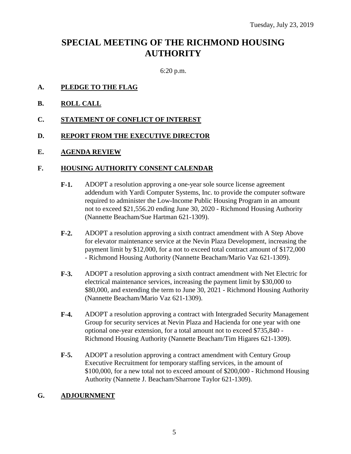# **SPECIAL MEETING OF THE RICHMOND HOUSING AUTHORITY**

6:20 p.m.

#### **A. PLEDGE TO THE FLAG**

- **B. ROLL CALL**
- **C. STATEMENT OF CONFLICT OF INTEREST**

#### **D. REPORT FROM THE EXECUTIVE DIRECTOR**

**E. AGENDA REVIEW**

#### **F. HOUSING AUTHORITY CONSENT CALENDAR**

- **F-1.** ADOPT a resolution approving a one-year sole source license agreement addendum with Yardi Computer Systems, Inc. to provide the computer software required to administer the Low-Income Public Housing Program in an amount not to exceed \$21,556.20 ending June 30, 2020 - Richmond Housing Authority (Nannette Beacham/Sue Hartman 621-1309).
- **F-2.** ADOPT a resolution approving a sixth contract amendment with A Step Above for elevator maintenance service at the Nevin Plaza Development, increasing the payment limit by \$12,000, for a not to exceed total contract amount of \$172,000 - Richmond Housing Authority (Nannette Beacham/Mario Vaz 621-1309).
- **F-3.** ADOPT a resolution approving a sixth contract amendment with Net Electric for electrical maintenance services, increasing the payment limit by \$30,000 to \$80,000, and extending the term to June 30, 2021 - Richmond Housing Authority (Nannette Beacham/Mario Vaz 621-1309).
- **F-4.** ADOPT a resolution approving a contract with Intergraded Security Management Group for security services at Nevin Plaza and Hacienda for one year with one optional one-year extension, for a total amount not to exceed \$735,840 - Richmond Housing Authority (Nannette Beacham/Tim Higares 621-1309).
- **F-5.** ADOPT a resolution approving a contract amendment with Century Group Executive Recruitment for temporary staffing services, in the amount of \$100,000, for a new total not to exceed amount of \$200,000 - Richmond Housing Authority (Nannette J. Beacham/Sharrone Taylor 621-1309).

#### **G. ADJOURNMENT**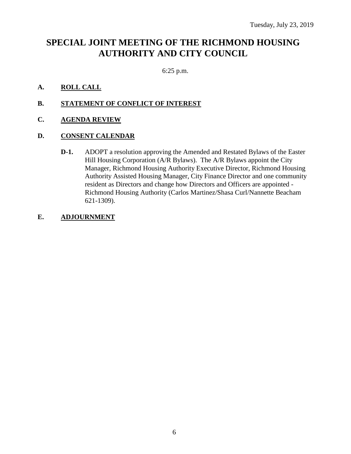# **SPECIAL JOINT MEETING OF THE RICHMOND HOUSING AUTHORITY AND CITY COUNCIL**

6:25 p.m.

#### **A. ROLL CALL**

- **B. STATEMENT OF CONFLICT OF INTEREST**
- **C. AGENDA REVIEW**

#### **D. CONSENT CALENDAR**

**D-1.** ADOPT a resolution approving the Amended and Restated Bylaws of the Easter Hill Housing Corporation (A/R Bylaws). The A/R Bylaws appoint the City Manager, Richmond Housing Authority Executive Director, Richmond Housing Authority Assisted Housing Manager, City Finance Director and one community resident as Directors and change how Directors and Officers are appointed - Richmond Housing Authority (Carlos Martinez/Shasa Curl/Nannette Beacham 621-1309).

#### **E. ADJOURNMENT**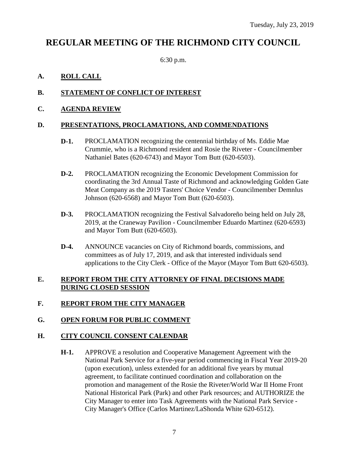# **REGULAR MEETING OF THE RICHMOND CITY COUNCIL**

6:30 p.m.

#### **A. ROLL CALL**

#### **B. STATEMENT OF CONFLICT OF INTEREST**

#### **C. AGENDA REVIEW**

#### **D. PRESENTATIONS, PROCLAMATIONS, AND COMMENDATIONS**

- **D-1.** PROCLAMATION recognizing the centennial birthday of Ms. Eddie Mae Crummie, who is a Richmond resident and Rosie the Riveter - Councilmember Nathaniel Bates (620-6743) and Mayor Tom Butt (620-6503).
- **D-2.** PROCLAMATION recognizing the Economic Development Commission for coordinating the 3rd Annual Taste of Richmond and acknowledging Golden Gate Meat Company as the 2019 Tasters' Choice Vendor - Councilmember Demnlus Johnson (620-6568) and Mayor Tom Butt (620-6503).
- **D-3.** PROCLAMATION recognizing the Festival Salvadoreño being held on July 28, 2019, at the Craneway Pavilion - Councilmember Eduardo Martinez (620-6593) and Mayor Tom Butt (620-6503).
- **D-4.** ANNOUNCE vacancies on City of Richmond boards, commissions, and committees as of July 17, 2019, and ask that interested individuals send applications to the City Clerk - Office of the Mayor (Mayor Tom Butt 620-6503).

#### **E. REPORT FROM THE CITY ATTORNEY OF FINAL DECISIONS MADE DURING CLOSED SESSION**

#### **F. REPORT FROM THE CITY MANAGER**

#### **G. OPEN FORUM FOR PUBLIC COMMENT**

#### **H. CITY COUNCIL CONSENT CALENDAR**

**H-1.** APPROVE a resolution and Cooperative Management Agreement with the National Park Service for a five-year period commencing in Fiscal Year 2019-20 (upon execution), unless extended for an additional five years by mutual agreement, to facilitate continued coordination and collaboration on the promotion and management of the Rosie the Riveter/World War II Home Front National Historical Park (Park) and other Park resources; and AUTHORIZE the City Manager to enter into Task Agreements with the National Park Service - City Manager's Office (Carlos Martinez/LaShonda White 620-6512).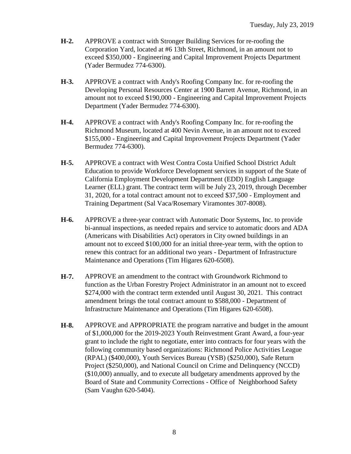- **H-2.** APPROVE a contract with Stronger Building Services for re-roofing the Corporation Yard, located at #6 13th Street, Richmond, in an amount not to exceed \$350,000 - Engineering and Capital Improvement Projects Department (Yader Bermudez 774-6300).
- **H-3.** APPROVE a contract with Andy's Roofing Company Inc. for re-roofing the Developing Personal Resources Center at 1900 Barrett Avenue, Richmond, in an amount not to exceed \$190,000 - Engineering and Capital Improvement Projects Department (Yader Bermudez 774-6300).
- **H-4.** APPROVE a contract with Andy's Roofing Company Inc. for re-roofing the Richmond Museum, located at 400 Nevin Avenue, in an amount not to exceed \$155,000 - Engineering and Capital Improvement Projects Department (Yader Bermudez 774-6300).
- **H-5.** APPROVE a contract with West Contra Costa Unified School District Adult Education to provide Workforce Development services in support of the State of California Employment Development Department (EDD) English Language Learner (ELL) grant. The contract term will be July 23, 2019, through December 31, 2020, for a total contract amount not to exceed \$37,500 - Employment and Training Department (Sal Vaca/Rosemary Viramontes 307-8008).
- **H-6.** APPROVE a three-year contract with Automatic Door Systems, Inc. to provide bi-annual inspections, as needed repairs and service to automatic doors and ADA (Americans with Disabilities Act) operators in City owned buildings in an amount not to exceed \$100,000 for an initial three-year term, with the option to renew this contract for an additional two years - Department of Infrastructure Maintenance and Operations (Tim Higares 620-6508).
- **H-7.** APPROVE an amendment to the contract with Groundwork Richmond to function as the Urban Forestry Project Administrator in an amount not to exceed \$274,000 with the contract term extended until August 30, 2021. This contract amendment brings the total contract amount to \$588,000 - Department of Infrastructure Maintenance and Operations (Tim Higares 620-6508).
- **H-8.** APPROVE and APPROPRIATE the program narrative and budget in the amount of \$1,000,000 for the 2019-2023 Youth Reinvestment Grant Award, a four-year grant to include the right to negotiate, enter into contracts for four years with the following community based organizations: Richmond Police Activities League (RPAL) (\$400,000), Youth Services Bureau (YSB) (\$250,000), Safe Return Project (\$250,000), and National Council on Crime and Delinquency (NCCD) (\$10,000) annually, and to execute all budgetary amendments approved by the Board of State and Community Corrections - Office of Neighborhood Safety (Sam Vaughn 620-5404).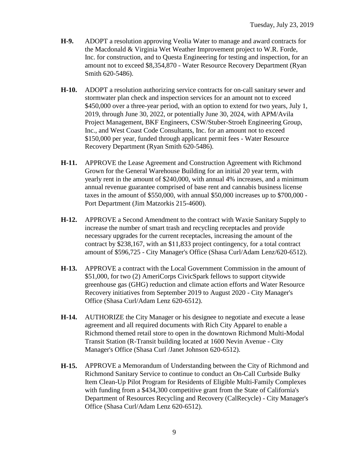- **H-9.** ADOPT a resolution approving Veolia Water to manage and award contracts for the Macdonald & Virginia Wet Weather Improvement project to W.R. Forde, Inc. for construction, and to Questa Engineering for testing and inspection, for an amount not to exceed \$8,354,870 - Water Resource Recovery Department (Ryan Smith 620-5486).
- **H-10.** ADOPT a resolution authorizing service contracts for on-call sanitary sewer and stormwater plan check and inspection services for an amount not to exceed \$450,000 over a three-year period, with an option to extend for two years, July 1, 2019, through June 30, 2022, or potentially June 30, 2024, with APM/Avila Project Management, BKF Engineers, CSW/Stuber-Stroeh Engineering Group, Inc., and West Coast Code Consultants, Inc. for an amount not to exceed \$150,000 per year, funded through applicant permit fees - Water Resource Recovery Department (Ryan Smith 620-5486).
- **H-11.** APPROVE the Lease Agreement and Construction Agreement with Richmond Grown for the General Warehouse Building for an initial 20 year term, with yearly rent in the amount of \$240,000, with annual 4% increases, and a minimum annual revenue guarantee comprised of base rent and cannabis business license taxes in the amount of \$550,000, with annual \$50,000 increases up to \$700,000 - Port Department (Jim Matzorkis 215-4600).
- **H-12.** APPROVE a Second Amendment to the contract with Waxie Sanitary Supply to increase the number of smart trash and recycling receptacles and provide necessary upgrades for the current receptacles, increasing the amount of the contract by \$238,167, with an \$11,833 project contingency, for a total contract amount of \$596,725 - City Manager's Office (Shasa Curl/Adam Lenz/620-6512).
- **H-13.** APPROVE a contract with the Local Government Commission in the amount of \$51,000, for two (2) AmeriCorps CivicSpark fellows to support citywide greenhouse gas (GHG) reduction and climate action efforts and Water Resource Recovery initiatives from September 2019 to August 2020 - City Manager's Office (Shasa Curl/Adam Lenz 620-6512).
- **H-14.** AUTHORIZE the City Manager or his designee to negotiate and execute a lease agreement and all required documents with Rich City Apparel to enable a Richmond themed retail store to open in the downtown Richmond Multi-Modal Transit Station (R-Transit building located at 1600 Nevin Avenue - City Manager's Office (Shasa Curl /Janet Johnson 620-6512).
- **H-15.** APPROVE a Memorandum of Understanding between the City of Richmond and Richmond Sanitary Service to continue to conduct an On-Call Curbside Bulky Item Clean-Up Pilot Program for Residents of Eligible Multi-Family Complexes with funding from a \$434,300 competitive grant from the State of California's Department of Resources Recycling and Recovery (CalRecycle) - City Manager's Office (Shasa Curl/Adam Lenz 620-6512).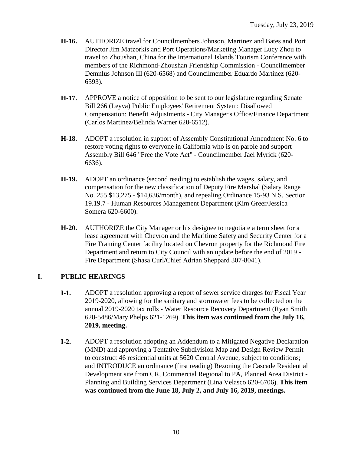- **H-16.** AUTHORIZE travel for Councilmembers Johnson, Martinez and Bates and Port Director Jim Matzorkis and Port Operations/Marketing Manager Lucy Zhou to travel to Zhoushan, China for the International Islands Tourism Conference with members of the Richmond-Zhoushan Friendship Commission - Councilmember Demnlus Johnson III (620-6568) and Councilmember Eduardo Martinez (620- 6593).
- **H-17.** APPROVE a notice of opposition to be sent to our legislature regarding Senate Bill 266 (Leyva) Public Employees' Retirement System: Disallowed Compensation: Benefit Adjustments - City Manager's Office/Finance Department (Carlos Martinez/Belinda Warner 620-6512).
- **H-18.** ADOPT a resolution in support of Assembly Constitutional Amendment No. 6 to restore voting rights to everyone in California who is on parole and support Assembly Bill 646 "Free the Vote Act" - Councilmember Jael Myrick (620- 6636).
- **H-19.** ADOPT an ordinance (second reading) to establish the wages, salary, and compensation for the new classification of Deputy Fire Marshal (Salary Range No. 255 \$13,275 - \$14,636/month), and repealing Ordinance 15-93 N.S. Section 19.19.7 - Human Resources Management Department (Kim Greer/Jessica Somera 620-6600).
- **H-20.** AUTHORIZE the City Manager or his designee to negotiate a term sheet for a lease agreement with Chevron and the Maritime Safety and Security Center for a Fire Training Center facility located on Chevron property for the Richmond Fire Department and return to City Council with an update before the end of 2019 - Fire Department (Shasa Curl/Chief Adrian Sheppard 307-8041).

#### **I. PUBLIC HEARINGS**

- **I-1.** ADOPT a resolution approving a report of sewer service charges for Fiscal Year 2019-2020, allowing for the sanitary and stormwater fees to be collected on the annual 2019-2020 tax rolls - Water Resource Recovery Department (Ryan Smith 620-5486/Mary Phelps 621-1269). **This item was continued from the July 16, 2019, meeting.**
- **I-2.** ADOPT a resolution adopting an Addendum to a Mitigated Negative Declaration (MND) and approving a Tentative Subdivision Map and Design Review Permit to construct 46 residential units at 5620 Central Avenue, subject to conditions; and INTRODUCE an ordinance (first reading) Rezoning the Cascade Residential Development site from CR, Commercial Regional to PA, Planned Area District - Planning and Building Services Department (Lina Velasco 620-6706). **This item was continued from the June 18, July 2, and July 16, 2019, meetings.**